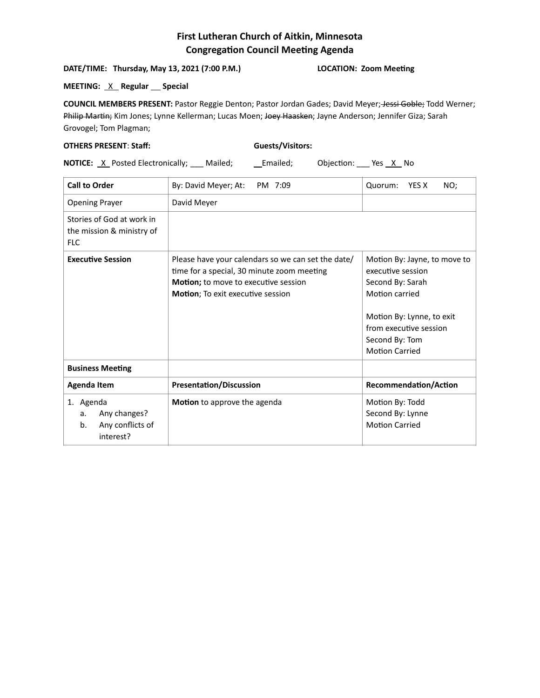## **First Lutheran Church of Aitkin, Minnesota Congregation Council Meeting Agenda**

## **DATE/TIME: Thursday, May 13, 2021 (7:00 P.M.) LOCATION: Zoom Meeting**

## **MEETING:** <u>X</u> Regular Special

**COUNCIL MEMBERS PRESENT:** Pastor Reggie Denton; Pastor Jordan Gades; David Meyer; Jessi Goble; Todd Werner; Philip Martin; Kim Jones; Lynne Kellerman; Lucas Moen; Joey Haasken; Jayne Anderson; Jennifer Giza; Sarah Grovogel; Tom Plagman;

## **OTHERS PRESENT**: **Staff: Guests/Visitors:**

**NOTICE:** X Posted Electronically; Mailed; Lemailed; Objection: Yes X No

| <b>Call to Order</b>                                                   | By: David Meyer; At:<br>PM 7:09                                                                                                                                               | YES X<br>NO;<br>Quorum:                                                                                                                                                                   |
|------------------------------------------------------------------------|-------------------------------------------------------------------------------------------------------------------------------------------------------------------------------|-------------------------------------------------------------------------------------------------------------------------------------------------------------------------------------------|
| <b>Opening Prayer</b>                                                  | David Meyer                                                                                                                                                                   |                                                                                                                                                                                           |
| Stories of God at work in<br>the mission & ministry of<br><b>FLC</b>   |                                                                                                                                                                               |                                                                                                                                                                                           |
| <b>Executive Session</b>                                               | Please have your calendars so we can set the date/<br>time for a special, 30 minute zoom meeting<br>Motion; to move to executive session<br>Motion; To exit executive session | Motion By: Jayne, to move to<br>executive session<br>Second By: Sarah<br>Motion carried<br>Motion By: Lynne, to exit<br>from executive session<br>Second By: Tom<br><b>Motion Carried</b> |
| <b>Business Meeting</b>                                                |                                                                                                                                                                               |                                                                                                                                                                                           |
| <b>Agenda Item</b>                                                     | <b>Presentation/Discussion</b>                                                                                                                                                | <b>Recommendation/Action</b>                                                                                                                                                              |
| 1. Agenda<br>Any changes?<br>a.<br>Any conflicts of<br>b.<br>interest? | <b>Motion</b> to approve the agenda                                                                                                                                           | Motion By: Todd<br>Second By: Lynne<br><b>Motion Carried</b>                                                                                                                              |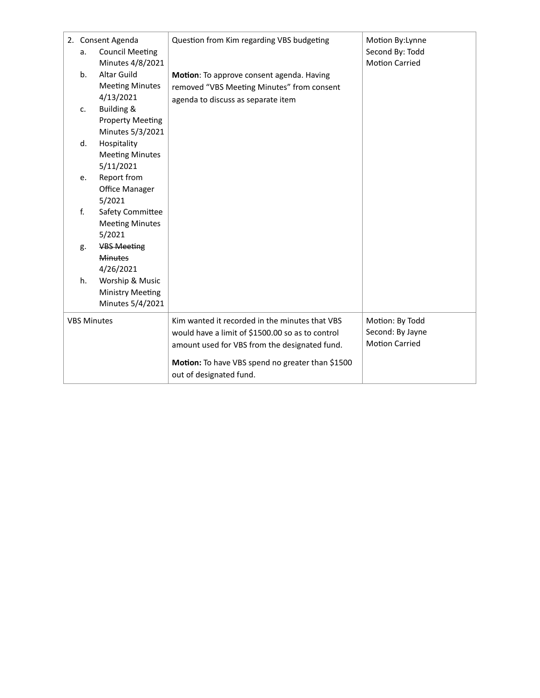|                    | a.             | 2. Consent Agenda<br><b>Council Meeting</b><br>Minutes 4/8/2021 | Question from Kim regarding VBS budgeting                                               | Motion By:Lynne<br>Second By: Todd<br><b>Motion Carried</b> |
|--------------------|----------------|-----------------------------------------------------------------|-----------------------------------------------------------------------------------------|-------------------------------------------------------------|
|                    | b.             | <b>Altar Guild</b><br><b>Meeting Minutes</b><br>4/13/2021       | Motion: To approve consent agenda. Having<br>removed "VBS Meeting Minutes" from consent |                                                             |
|                    | $\mathsf{C}$ . | Building &                                                      | agenda to discuss as separate item                                                      |                                                             |
|                    |                | <b>Property Meeting</b><br>Minutes 5/3/2021                     |                                                                                         |                                                             |
|                    | d.             | Hospitality                                                     |                                                                                         |                                                             |
|                    |                | <b>Meeting Minutes</b>                                          |                                                                                         |                                                             |
|                    |                | 5/11/2021                                                       |                                                                                         |                                                             |
|                    | e.             | Report from                                                     |                                                                                         |                                                             |
|                    |                | Office Manager                                                  |                                                                                         |                                                             |
|                    |                | 5/2021                                                          |                                                                                         |                                                             |
|                    | f.             | Safety Committee                                                |                                                                                         |                                                             |
|                    |                | <b>Meeting Minutes</b>                                          |                                                                                         |                                                             |
|                    |                | 5/2021                                                          |                                                                                         |                                                             |
|                    | g.             | <b>VBS Meeting</b>                                              |                                                                                         |                                                             |
|                    |                | <b>Minutes</b>                                                  |                                                                                         |                                                             |
|                    |                | 4/26/2021                                                       |                                                                                         |                                                             |
|                    | h.             | Worship & Music                                                 |                                                                                         |                                                             |
|                    |                | <b>Ministry Meeting</b>                                         |                                                                                         |                                                             |
|                    |                | Minutes 5/4/2021                                                |                                                                                         |                                                             |
| <b>VBS Minutes</b> |                |                                                                 | Kim wanted it recorded in the minutes that VBS                                          | Motion: By Todd                                             |
|                    |                |                                                                 | would have a limit of \$1500.00 so as to control                                        | Second: By Jayne                                            |
|                    |                |                                                                 | amount used for VBS from the designated fund.                                           | <b>Motion Carried</b>                                       |
|                    |                |                                                                 | Motion: To have VBS spend no greater than \$1500<br>out of designated fund.             |                                                             |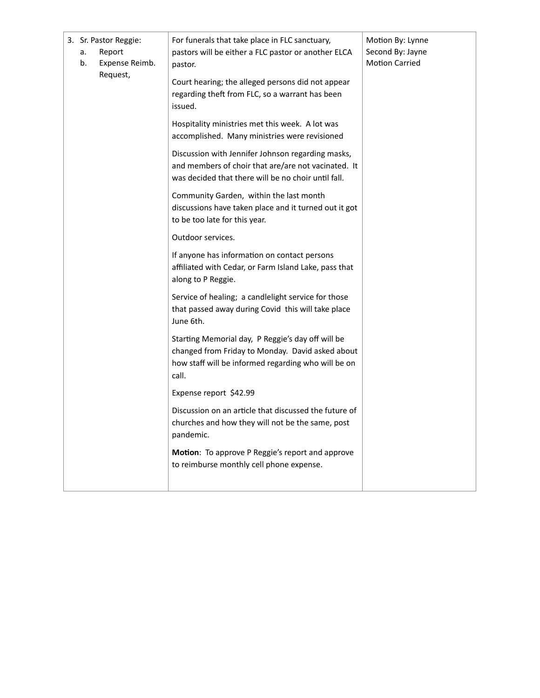| a.<br>b. | 3. Sr. Pastor Reggie:<br>Report<br>Expense Reimb.<br>Request, | For funerals that take place in FLC sanctuary,<br>pastors will be either a FLC pastor or another ELCA<br>pastor.<br>Court hearing; the alleged persons did not appear<br>regarding theft from FLC, so a warrant has been<br>issued. | Motion By: Lynne<br>Second By: Jayne<br><b>Motion Carried</b> |
|----------|---------------------------------------------------------------|-------------------------------------------------------------------------------------------------------------------------------------------------------------------------------------------------------------------------------------|---------------------------------------------------------------|
|          |                                                               | Hospitality ministries met this week. A lot was<br>accomplished. Many ministries were revisioned                                                                                                                                    |                                                               |
|          |                                                               | Discussion with Jennifer Johnson regarding masks,<br>and members of choir that are/are not vacinated. It<br>was decided that there will be no choir until fall.                                                                     |                                                               |
|          |                                                               | Community Garden, within the last month<br>discussions have taken place and it turned out it got<br>to be too late for this year.                                                                                                   |                                                               |
|          |                                                               | Outdoor services.                                                                                                                                                                                                                   |                                                               |
|          |                                                               | If anyone has information on contact persons<br>affiliated with Cedar, or Farm Island Lake, pass that<br>along to P Reggie.                                                                                                         |                                                               |
|          |                                                               | Service of healing; a candlelight service for those<br>that passed away during Covid this will take place<br>June 6th.                                                                                                              |                                                               |
|          |                                                               | Starting Memorial day, P Reggie's day off will be<br>changed from Friday to Monday. David asked about<br>how staff will be informed regarding who will be on<br>call.                                                               |                                                               |
|          |                                                               | Expense report \$42.99                                                                                                                                                                                                              |                                                               |
|          |                                                               | Discussion on an article that discussed the future of<br>churches and how they will not be the same, post<br>pandemic.                                                                                                              |                                                               |
|          |                                                               | Motion: To approve P Reggie's report and approve<br>to reimburse monthly cell phone expense.                                                                                                                                        |                                                               |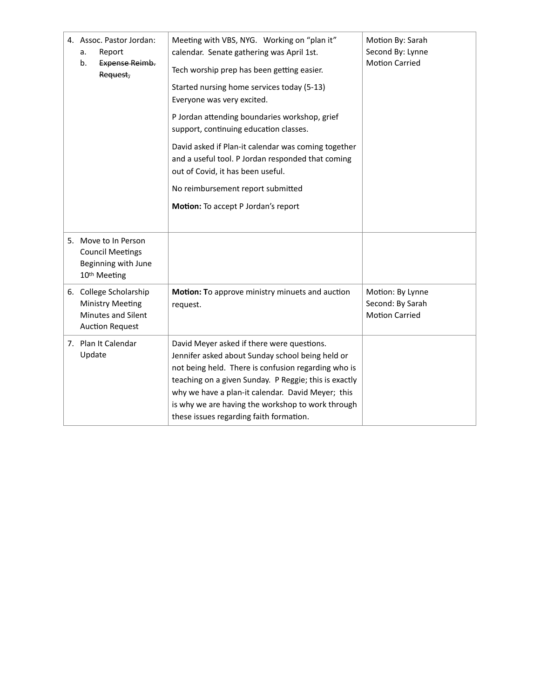| 4. Assoc. Pastor Jordan:<br>Report<br>a.<br>b.<br><b>Expense Reimb.</b><br>Request,                      | Meeting with VBS, NYG. Working on "plan it"<br>calendar. Senate gathering was April 1st.<br>Tech worship prep has been getting easier.<br>Started nursing home services today (5-13)<br>Everyone was very excited.<br>P Jordan attending boundaries workshop, grief<br>support, continuing education classes.<br>David asked if Plan-it calendar was coming together<br>and a useful tool. P Jordan responded that coming<br>out of Covid, it has been useful.<br>No reimbursement report submitted<br>Motion: To accept P Jordan's report | Motion By: Sarah<br>Second By: Lynne<br><b>Motion Carried</b> |
|----------------------------------------------------------------------------------------------------------|--------------------------------------------------------------------------------------------------------------------------------------------------------------------------------------------------------------------------------------------------------------------------------------------------------------------------------------------------------------------------------------------------------------------------------------------------------------------------------------------------------------------------------------------|---------------------------------------------------------------|
| 5. Move to In Person<br><b>Council Meetings</b><br>Beginning with June<br>10 <sup>th</sup> Meeting       |                                                                                                                                                                                                                                                                                                                                                                                                                                                                                                                                            |                                                               |
| 6. College Scholarship<br><b>Ministry Meeting</b><br><b>Minutes and Silent</b><br><b>Auction Request</b> | Motion: To approve ministry minuets and auction<br>request.                                                                                                                                                                                                                                                                                                                                                                                                                                                                                | Motion: By Lynne<br>Second: By Sarah<br><b>Motion Carried</b> |
| 7. Plan It Calendar<br>Update                                                                            | David Meyer asked if there were questions.<br>Jennifer asked about Sunday school being held or<br>not being held. There is confusion regarding who is<br>teaching on a given Sunday. P Reggie; this is exactly<br>why we have a plan-it calendar. David Meyer; this<br>is why we are having the workshop to work through<br>these issues regarding faith formation.                                                                                                                                                                        |                                                               |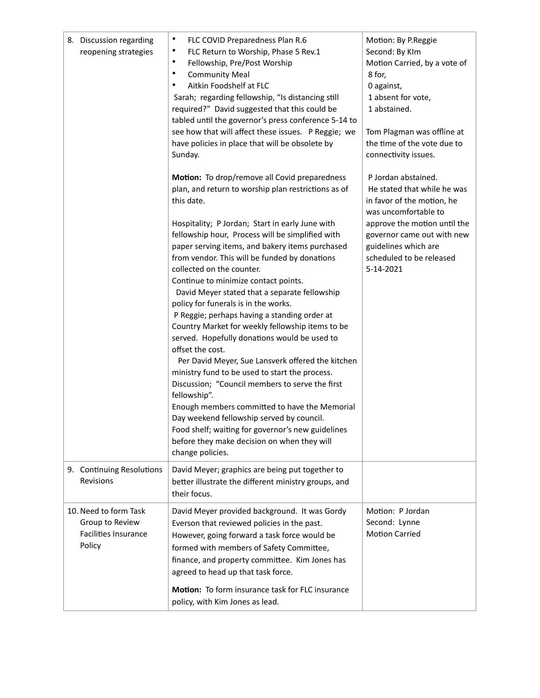| 8. Discussion regarding<br>reopening strategies                                   | ٠<br>FLC COVID Preparedness Plan R.6<br>٠<br>FLC Return to Worship, Phase 5 Rev.1<br>$\bullet$<br>Fellowship, Pre/Post Worship<br>٠<br><b>Community Meal</b><br>Aitkin Foodshelf at FLC<br>٠<br>Sarah; regarding fellowship, "Is distancing still<br>required?" David suggested that this could be<br>tabled until the governor's press conference 5-14 to<br>see how that will affect these issues. P Reggie; we<br>have policies in place that will be obsolete by<br>Sunday.<br>Motion: To drop/remove all Covid preparedness<br>plan, and return to worship plan restrictions as of<br>this date.<br>Hospitality; P Jordan; Start in early June with<br>fellowship hour, Process will be simplified with<br>paper serving items, and bakery items purchased<br>from vendor. This will be funded by donations<br>collected on the counter.<br>Continue to minimize contact points.<br>David Meyer stated that a separate fellowship<br>policy for funerals is in the works.<br>P Reggie; perhaps having a standing order at<br>Country Market for weekly fellowship items to be<br>served. Hopefully donations would be used to<br>offset the cost.<br>Per David Meyer, Sue Lansverk offered the kitchen<br>ministry fund to be used to start the process.<br>Discussion; "Council members to serve the first<br>fellowship".<br>Enough members committed to have the Memorial<br>Day weekend fellowship served by council.<br>Food shelf; waiting for governor's new guidelines<br>before they make decision on when they will | Motion: By P.Reggie<br>Second: By KIm<br>Motion Carried, by a vote of<br>8 for,<br>0 against,<br>1 absent for vote,<br>1 abstained.<br>Tom Plagman was offline at<br>the time of the vote due to<br>connectivity issues.<br>P Jordan abstained.<br>He stated that while he was<br>in favor of the motion, he<br>was uncomfortable to<br>approve the motion until the<br>governor came out with new<br>guidelines which are<br>scheduled to be released<br>5-14-2021 |
|-----------------------------------------------------------------------------------|------------------------------------------------------------------------------------------------------------------------------------------------------------------------------------------------------------------------------------------------------------------------------------------------------------------------------------------------------------------------------------------------------------------------------------------------------------------------------------------------------------------------------------------------------------------------------------------------------------------------------------------------------------------------------------------------------------------------------------------------------------------------------------------------------------------------------------------------------------------------------------------------------------------------------------------------------------------------------------------------------------------------------------------------------------------------------------------------------------------------------------------------------------------------------------------------------------------------------------------------------------------------------------------------------------------------------------------------------------------------------------------------------------------------------------------------------------------------------------------------------------------------------------|---------------------------------------------------------------------------------------------------------------------------------------------------------------------------------------------------------------------------------------------------------------------------------------------------------------------------------------------------------------------------------------------------------------------------------------------------------------------|
| 9. Continuing Resolutions                                                         | change policies.<br>David Meyer; graphics are being put together to                                                                                                                                                                                                                                                                                                                                                                                                                                                                                                                                                                                                                                                                                                                                                                                                                                                                                                                                                                                                                                                                                                                                                                                                                                                                                                                                                                                                                                                                |                                                                                                                                                                                                                                                                                                                                                                                                                                                                     |
| Revisions                                                                         | better illustrate the different ministry groups, and<br>their focus.                                                                                                                                                                                                                                                                                                                                                                                                                                                                                                                                                                                                                                                                                                                                                                                                                                                                                                                                                                                                                                                                                                                                                                                                                                                                                                                                                                                                                                                               |                                                                                                                                                                                                                                                                                                                                                                                                                                                                     |
| 10. Need to form Task<br>Group to Review<br><b>Facilities Insurance</b><br>Policy | David Meyer provided background. It was Gordy<br>Everson that reviewed policies in the past.<br>However, going forward a task force would be<br>formed with members of Safety Committee,<br>finance, and property committee. Kim Jones has<br>agreed to head up that task force.<br>Motion: To form insurance task for FLC insurance<br>policy, with Kim Jones as lead.                                                                                                                                                                                                                                                                                                                                                                                                                                                                                                                                                                                                                                                                                                                                                                                                                                                                                                                                                                                                                                                                                                                                                            | Motion: P Jordan<br>Second: Lynne<br><b>Motion Carried</b>                                                                                                                                                                                                                                                                                                                                                                                                          |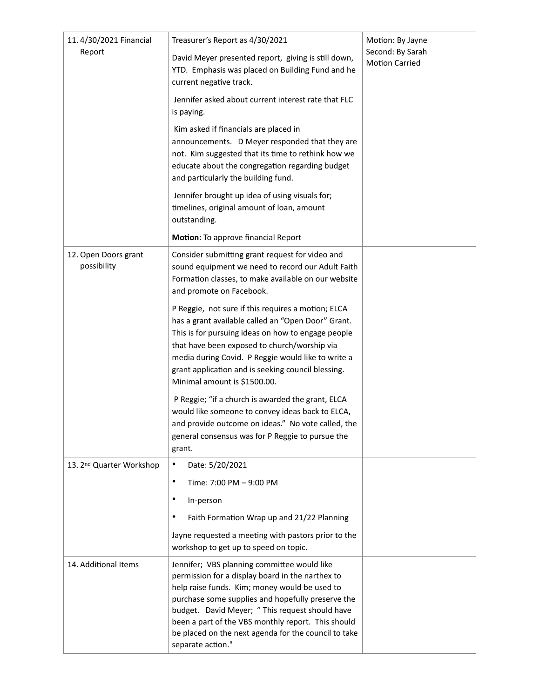| 11.4/30/2021 Financial              | Treasurer's Report as 4/30/2021                                                                                                                                                                                                                                                                                                                                                             | Motion: By Jayne<br>Second: By Sarah<br><b>Motion Carried</b> |
|-------------------------------------|---------------------------------------------------------------------------------------------------------------------------------------------------------------------------------------------------------------------------------------------------------------------------------------------------------------------------------------------------------------------------------------------|---------------------------------------------------------------|
| Report                              | David Meyer presented report, giving is still down,<br>YTD. Emphasis was placed on Building Fund and he<br>current negative track.                                                                                                                                                                                                                                                          |                                                               |
|                                     | Jennifer asked about current interest rate that FLC<br>is paying.                                                                                                                                                                                                                                                                                                                           |                                                               |
|                                     | Kim asked if financials are placed in<br>announcements. D Meyer responded that they are<br>not. Kim suggested that its time to rethink how we<br>educate about the congregation regarding budget<br>and particularly the building fund.                                                                                                                                                     |                                                               |
|                                     | Jennifer brought up idea of using visuals for;<br>timelines, original amount of loan, amount<br>outstanding.                                                                                                                                                                                                                                                                                |                                                               |
|                                     | Motion: To approve financial Report                                                                                                                                                                                                                                                                                                                                                         |                                                               |
| 12. Open Doors grant<br>possibility | Consider submitting grant request for video and<br>sound equipment we need to record our Adult Faith<br>Formation classes, to make available on our website<br>and promote on Facebook.                                                                                                                                                                                                     |                                                               |
|                                     | P Reggie, not sure if this requires a motion; ELCA<br>has a grant available called an "Open Door" Grant.<br>This is for pursuing ideas on how to engage people<br>that have been exposed to church/worship via<br>media during Covid. P Reggie would like to write a<br>grant application and is seeking council blessing.<br>Minimal amount is \$1500.00.                                  |                                                               |
|                                     | P Reggie; "if a church is awarded the grant, ELCA<br>would like someone to convey ideas back to ELCA,<br>and provide outcome on ideas." No vote called, the<br>general consensus was for P Reggie to pursue the<br>grant.                                                                                                                                                                   |                                                               |
| 13. 2nd Quarter Workshop            | ٠<br>Date: 5/20/2021                                                                                                                                                                                                                                                                                                                                                                        |                                                               |
|                                     | ٠<br>Time: 7:00 PM - 9:00 PM                                                                                                                                                                                                                                                                                                                                                                |                                                               |
|                                     | ٠<br>In-person                                                                                                                                                                                                                                                                                                                                                                              |                                                               |
|                                     | Faith Formation Wrap up and 21/22 Planning<br>٠                                                                                                                                                                                                                                                                                                                                             |                                                               |
|                                     | Jayne requested a meeting with pastors prior to the<br>workshop to get up to speed on topic.                                                                                                                                                                                                                                                                                                |                                                               |
| 14. Additional Items                | Jennifer; VBS planning committee would like<br>permission for a display board in the narthex to<br>help raise funds. Kim; money would be used to<br>purchase some supplies and hopefully preserve the<br>budget. David Meyer; " This request should have<br>been a part of the VBS monthly report. This should<br>be placed on the next agenda for the council to take<br>separate action." |                                                               |